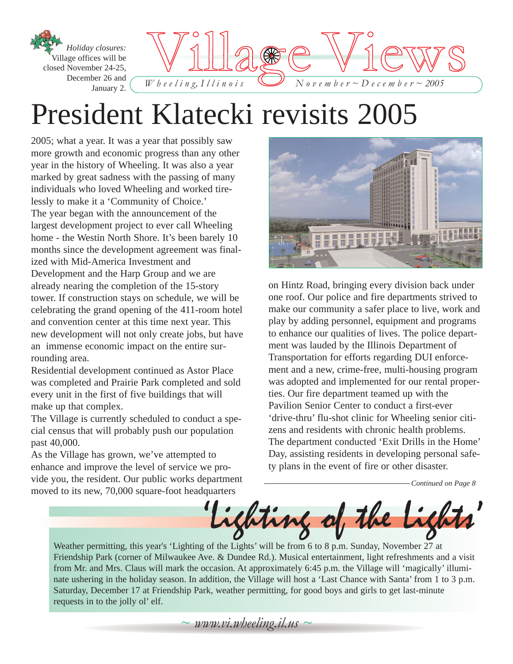

## President Klatecki revisits 2005

2005; what a year. It was a year that possibly saw more growth and economic progress than any other year in the history of Wheeling. It was also a year marked by great sadness with the passing of many individuals who loved Wheeling and worked tirelessly to make it a 'Community of Choice.' The year began with the announcement of the largest development project to ever call Wheeling home - the Westin North Shore. It's been barely 10 months since the development agreement was finalized with Mid-America Investment and Development and the Harp Group and we are already nearing the completion of the 15-story tower. If construction stays on schedule, we will be celebrating the grand opening of the 411-room hotel and convention center at this time next year. This new development will not only create jobs, but have an immense economic impact on the entire surrounding area.

Residential development continued as Astor Place was completed and Prairie Park completed and sold every unit in the first of five buildings that will make up that complex.

The Village is currently scheduled to conduct a special census that will probably push our population past 40,000.

As the Village has grown, we've attempted to enhance and improve the level of service we provide you, the resident. Our public works department moved to its new, 70,000 square-foot headquarters



on Hintz Road, bringing every division back under one roof. Our police and fire departments strived to make our community a safer place to live, work and play by adding personnel, equipment and programs to enhance our qualities of lives. The police department was lauded by the Illinois Department of Transportation for efforts regarding DUI enforcement and a new, crime-free, multi-housing program was adopted and implemented for our rental properties. Our fire department teamed up with the Pavilion Senior Center to conduct a first-ever 'drive-thru' flu-shot clinic for Wheeling senior citizens and residents with chronic health problems. The department conducted 'Exit Drills in the Home' Day, assisting residents in developing personal safety plans in the event of fire or other disaster.

*Continued on Page 8*



Weather permitting, this year's 'Lighting of the Lights' will be from 6 to 8 p.m. Sunday, November 27 at Friendship Park (corner of Milwaukee Ave. & Dundee Rd.). Musical entertainment, light refreshments and a visit from Mr. and Mrs. Claus will mark the occasion. At approximately 6:45 p.m. the Village will 'magically' illuminate ushering in the holiday season. In addition, the Village will host a 'Last Chance with Santa' from 1 to 3 p.m. Saturday, December 17 at Friendship Park, weather permitting, for good boys and girls to get last-minute requests in to the jolly ol' elf.

*~ www.vi.wheeling.il.us ~*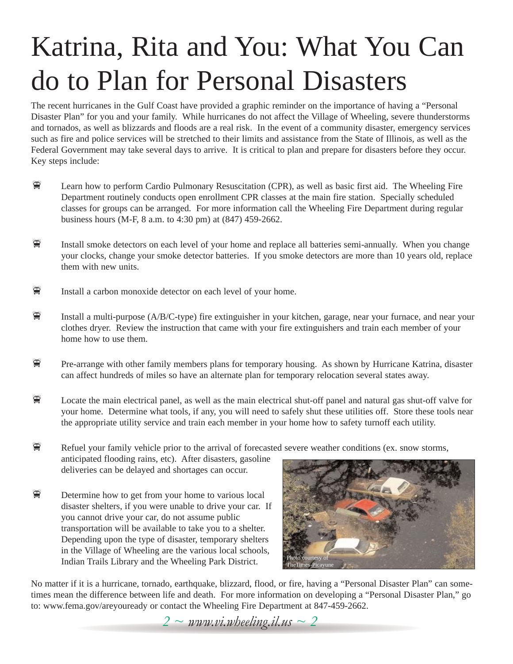# Katrina, Rita and You: What You Can do to Plan for Personal Disasters

The recent hurricanes in the Gulf Coast have provided a graphic reminder on the importance of having a "Personal Disaster Plan" for you and your family. While hurricanes do not affect the Village of Wheeling, severe thunderstorms and tornados, as well as blizzards and floods are a real risk. In the event of a community disaster, emergency services such as fire and police services will be stretched to their limits and assistance from the State of Illinois, as well as the Federal Government may take several days to arrive. It is critical to plan and prepare for disasters before they occur. Key steps include:

- **EXECUTE:** Learn how to perform Cardio Pulmonary Resuscitation (CPR), as well as basic first aid. The Wheeling Fire Department routinely conducts open enrollment CPR classes at the main fire station. Specially scheduled classes for groups can be arranged. For more information call the Wheeling Fire Department during regular business hours (M-F, 8 a.m. to 4:30 pm) at (847) 459-2662.
- $\mathbb{F}$  Install smoke detectors on each level of your home and replace all batteries semi-annually. When you change your clocks, change your smoke detector batteries. If you smoke detectors are more than 10 years old, replace them with new units.
- $\mathbb{F}$  Install a carbon monoxide detector on each level of your home.
- Install a multi-purpose ( $A/B/C$ -type) fire extinguisher in your kitchen, garage, near your furnace, and near your clothes dryer. Review the instruction that came with your fire extinguishers and train each member of your home how to use them.
- **I** Pre-arrange with other family members plans for temporary housing. As shown by Hurricane Katrina, disaster can affect hundreds of miles so have an alternate plan for temporary relocation several states away.
- $\mathbb{F}$  Locate the main electrical panel, as well as the main electrical shut-off panel and natural gas shut-off valve for your home. Determine what tools, if any, you will need to safely shut these utilities off. Store these tools near the appropriate utility service and train each member in your home how to safety turnoff each utility.

 $\mathbb{F}$  Refuel your family vehicle prior to the arrival of forecasted severe weather conditions (ex. snow storms, anticipated flooding rains, etc). After disasters, gasoline deliveries can be delayed and shortages can occur.

 $\mathbb{F}$  Determine how to get from your home to various local disaster shelters, if you were unable to drive your car. If you cannot drive your car, do not assume public transportation will be available to take you to a shelter. Depending upon the type of disaster, temporary shelters in the Village of Wheeling are the various local schools, Indian Trails Library and the Wheeling Park District.



No matter if it is a hurricane, tornado, earthquake, blizzard, flood, or fire, having a "Personal Disaster Plan" can sometimes mean the difference between life and death. For more information on developing a "Personal Disaster Plan," go to: www.fema.gov/areyouready or contact the Wheeling Fire Department at 847-459-2662.

*2 ~ www.vi.wheeling.il.us ~ 2*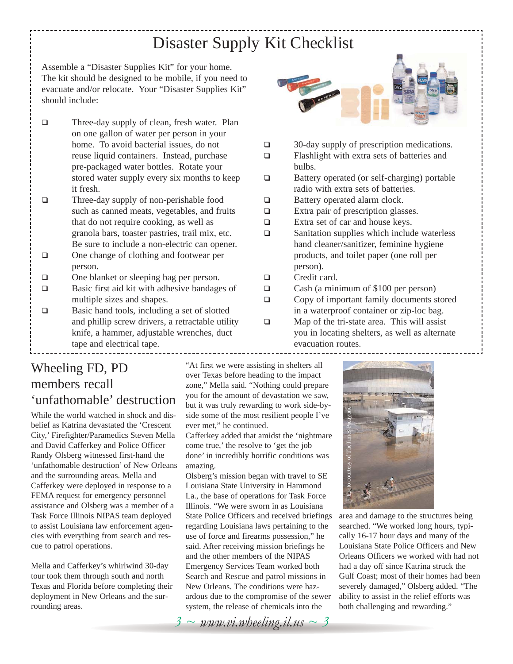### Disaster Supply Kit Checklist

Assemble a "Disaster Supplies Kit" for your home. The kit should be designed to be mobile, if you need to evacuate and/or relocate. Your "Disaster Supplies Kit" should include:

- □ Three-day supply of clean, fresh water. Plan on one gallon of water per person in your home. To avoid bacterial issues, do not reuse liquid containers. Instead, purchase pre-packaged water bottles. Rotate your stored water supply every six months to keep it fresh.
- □ Three-day supply of non-perishable food such as canned meats, vegetables, and fruits that do not require cooking, as well as granola bars, toaster pastries, trail mix, etc. Be sure to include a non-electric can opener.
- □ One change of clothing and footwear per person.
- □ One blanket or sleeping bag per person.
- □ Basic first aid kit with adhesive bandages of multiple sizes and shapes.
- □ Basic hand tools, including a set of slotted and phillip screw drivers, a retractable utility knife, a hammer, adjustable wrenches, duct tape and electrical tape.

#### Wheeling FD, PD members recall 'unfathomable' destruction

While the world watched in shock and disbelief as Katrina devastated the 'Crescent City,' Firefighter/Paramedics Steven Mella and David Cafferkey and Police Officer Randy Olsberg witnessed first-hand the 'unfathomable destruction' of New Orleans and the surrounding areas. Mella and Cafferkey were deployed in response to a FEMA request for emergency personnel assistance and Olsberg was a member of a Task Force Illinois NIPAS team deployed to assist Louisiana law enforcement agencies with everything from search and rescue to patrol operations.

Mella and Cafferkey's whirlwind 30-day tour took them through south and north Texas and Florida before completing their deployment in New Orleans and the surrounding areas.

"At first we were assisting in shelters all over Texas before heading to the impact zone," Mella said. "Nothing could prepare you for the amount of devastation we saw, but it was truly rewarding to work side-byside some of the most resilient people I've ever met," he continued.

Cafferkey added that amidst the 'nightmare come true,' the resolve to 'get the job done' in incredibly horrific conditions was amazing.

Olsberg's mission began with travel to SE Louisiana State University in Hammond La., the base of operations for Task Force Illinois. "We were sworn in as Louisiana State Police Officers and received briefings regarding Louisiana laws pertaining to the use of force and firearms possession," he said. After receiving mission briefings he and the other members of the NIPAS Emergency Services Team worked both Search and Rescue and patrol missions in New Orleans. The conditions were hazardous due to the compromise of the sewer system, the release of chemicals into the



- $\Box$  30-day supply of prescription medications.
- □ Flashlight with extra sets of batteries and bulbs.
- □ Battery operated (or self-charging) portable radio with extra sets of batteries.
- □ Battery operated alarm clock.
- Extra pair of prescription glasses.
- □ Extra set of car and house keys.
- $\square$  Sanitation supplies which include waterless hand cleaner/sanitizer, feminine hygiene products, and toilet paper (one roll per person).
- □ Credit card.
- □ Cash (a minimum of \$100 per person)
- □ Copy of important family documents stored in a waterproof container or zip-loc bag.
- $\square$  Map of the tri-state area. This will assist you in locating shelters, as well as alternate evacuation routes.



area and damage to the structures being searched. "We worked long hours, typically 16-17 hour days and many of the Louisiana State Police Officers and New Orleans Officers we worked with had not had a day off since Katrina struck the Gulf Coast; most of their homes had been severely damaged," Olsberg added. "The ability to assist in the relief efforts was both challenging and rewarding."

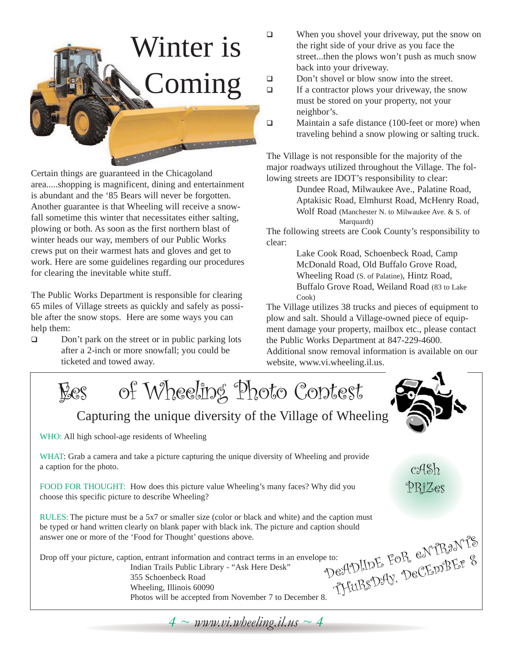# Winter is Coming

Certain things are guaranteed in the Chicagoland area.....shopping is magnificent, dining and entertainment is abundant and the '85 Bears will never be forgotten. Another guarantee is that Wheeling will receive a snowfall sometime this winter that necessitates either salting, plowing or both. As soon as the first northern blast of winter heads our way, members of our Public Works crews put on their warmest hats and gloves and get to work. Here are some guidelines regarding our procedures for clearing the inevitable white stuff.

The Public Works Department is responsible for clearing 65 miles of Village streets as quickly and safely as possible after the snow stops. Here are some ways you can help them:

 $\Box$  Don't park on the street or in public parking lots after a 2-inch or more snowfall; you could be ticketed and towed away.

- $\Box$  When you shovel your driveway, put the snow on the right side of your drive as you face the street...then the plows won't push as much snow back into your driveway.
- Don't shovel or blow snow into the street.
- $\Box$  If a contractor plows your driveway, the snow must be stored on your property, not your neighbor's.
- □ Maintain a safe distance (100-feet or more) when traveling behind a snow plowing or salting truck.

The Village is not responsible for the majority of the major roadways utilized throughout the Village. The following streets are IDOT's responsibility to clear:

> Dundee Road, Milwaukee Ave., Palatine Road, Aptakisic Road, Elmhurst Road, McHenry Road, Wolf Road (Manchester N. to Milwaukee Ave. & S. of Marquardt)

The following streets are Cook County's responsibility to clear:

> Lake Cook Road, Schoenbeck Road, Camp McDonald Road, Old Buffalo Grove Road, Wheeling Road (S. of Palatine), Hintz Road, Buffalo Grove Road, Weiland Road (83 to Lake Cook)

The Village utilizes 38 trucks and pieces of equipment to plow and salt. Should a Village-owned piece of equipment damage your property, mailbox etc., please contact the Public Works Department at 847-229-4600. Additional snow removal information is available on our

website, www.vi.wheeling.il.us.

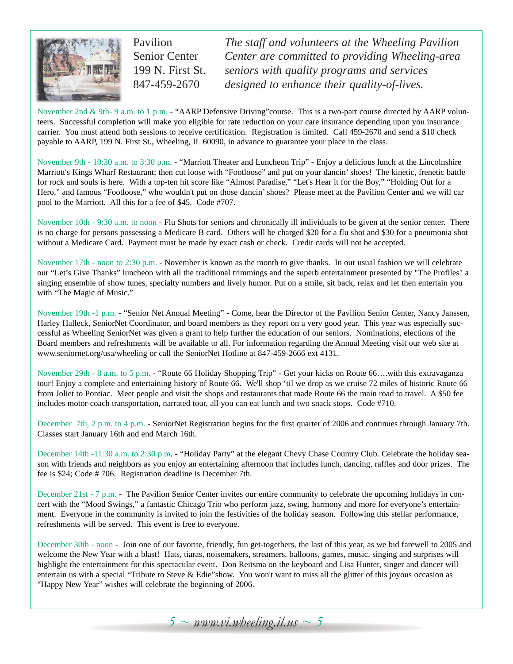

Pavilion Senior Center 199 N. First St. 847-459-2670

*The staff and volunteers at the Wheeling Pavilion Center are committed to providing Wheeling-area seniors with quality programs and services designed to enhance their quality-of-lives.* 

November 2nd & 9th- 9 a.m. to 1 p.m. - "AARP Defensive Driving" course. This is a two-part course directed by AARP volunteers. Successful completion will make you eligible for rate reduction on your care insurance depending upon you insurance carrier. You must attend both sessions to receive certification. Registration is limited. Call 459-2670 and send a \$10 check payable to AARP, 199 N. First St., Wheeling, IL 60090, in advance to guarantee your place in the class.

November 9th - 10:30 a.m. to 3:30 p.m. - "Marriott Theater and Luncheon Trip" - Enjoy a delicious lunch at the Lincolnshire Marriott's Kings Wharf Restaurant; then cut loose with "Footloose" and put on your dancin' shoes! The kinetic, frenetic battle for rock and souls is here. With a top-ten hit score like "Almost Paradise," "Let's Hear it for the Boy," "Holding Out for a Hero," and famous "Footloose," who wouldn't put on those dancin' shoes? Please meet at the Pavilion Center and we will car pool to the Marriott. All this for a fee of \$45. Code #707.

November 10th - 9:30 a.m. to noon - Flu Shots for seniors and chronically ill individuals to be given at the senior center. There is no charge for persons possessing a Medicare B card. Others will be charged \$20 for a flu shot and \$30 for a pneumonia shot without a Medicare Card. Payment must be made by exact cash or check. Credit cards will not be accepted.

November 17th - noon to 2:30 p.m. - November is known as the month to give thanks. In our usual fashion we will celebrate our "Let's Give Thanks" luncheon with all the traditional trimmings and the superb entertainment presented by "The Profiles" a singing ensemble of show tunes, specialty numbers and lively humor. Put on a smile, sit back, relax and let then entertain you with "The Magic of Music."

November 19th -1 p.m. - "Senior Net Annual Meeting" - Come, hear the Director of the Pavilion Senior Center, Nancy Janssen, Harley Halleck, SeniorNet Coordinator, and board members as they report on a very good year. This year was especially successful as Wheeling SeniorNet was given a grant to help further the education of our seniors. Nominations, elections of the Board members and refreshments will be available to all. For information regarding the Annual Meeting visit our web site at www.seniornet.org/usa/wheeling or call the SeniorNet Hotline at 847-459-2666 ext 4131.

November 29th - 8 a.m. to 5 p.m. - "Route 66 Holiday Shopping Trip" - Get your kicks on Route 66….with this extravaganza tour! Enjoy a complete and entertaining history of Route 66. We'll shop 'til we drop as we cruise 72 miles of historic Route 66 from Joliet to Pontiac. Meet people and visit the shops and restaurants that made Route 66 the main road to travel. A \$50 fee includes motor-coach transportation, narrated tour, all you can eat lunch and two snack stops. Code #710.

December 7th, 2 p.m. to 4 p.m. - SeniorNet Registration begins for the first quarter of 2006 and continues through January 7th. Classes start January 16th and end March 16th.

December 14th -11:30 a.m. to 2:30 p.m. - "Holiday Party" at the elegant Chevy Chase Country Club. Celebrate the holiday season with friends and neighbors as you enjoy an entertaining afternoon that includes lunch, dancing, raffles and door prizes. The fee is \$24; Code # 706. Registration deadline is December 7th.

December 21st - 7 p.m. - The Pavilion Senior Center invites our entire community to celebrate the upcoming holidays in concert with the "Mood Swings," a fantastic Chicago Trio who perform jazz, swing, harmony and more for everyone's entertainment. Everyone in the community is invited to join the festivities of the holiday season. Following this stellar performance, refreshments will be served. This event is free to everyone.

December 30th - noon - Join one of our favorite, friendly, fun get-togethers, the last of this year, as we bid farewell to 2005 and welcome the New Year with a blast! Hats, tiaras, noisemakers, streamers, balloons, games, music, singing and surprises will highlight the entertainment for this spectacular event. Don Reitsma on the keyboard and Lisa Hunter, singer and dancer will entertain us with a special "Tribute to Steve & Edie"show. You won't want to miss all the glitter of this joyous occasion as "Happy New Year" wishes will celebrate the beginning of 2006.

 $5 \sim$  *www.vi.wheeling.il.us*  $\sim$  5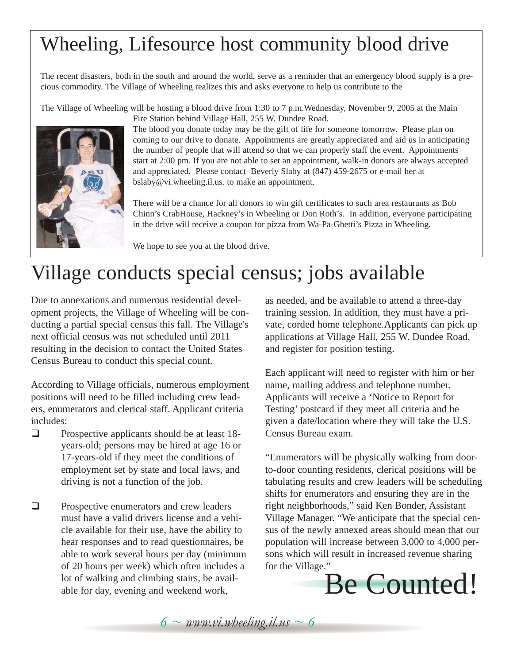### Wheeling, Lifesource host community blood drive

The recent disasters, both in the south and around the world, serve as a reminder that an emergency blood supply is a precious commodity. The Village of Wheeling realizes this and asks everyone to help us contribute to the

The Village of Wheeling will be hosting a blood drive from 1:30 to 7 p.m.Wednesday, November 9, 2005 at the Main Fire Station behind Village Hall, 255 W. Dundee Road.



The blood you donate today may be the gift of life for someone tomorrow. Please plan on coming to our drive to donate. Appointments are greatly appreciated and aid us in anticipating the number of people that will attend so that we can properly staff the event. Appointments start at 2:00 pm. If you are not able to set an appointment, walk-in donors are always accepted and appreciated. Please contact Beverly Slaby at (847) 459-2675 or e-mail her at bslaby@vi.wheeling.il.us. to make an appointment.

There will be a chance for all donors to win gift certificates to such area restaurants as Bob Chinn's CrabHouse, Hackney's in Wheeling or Don Roth's. In addition, everyone participating in the drive will receive a coupon for pizza from Wa-Pa-Ghetti's Pizza in Wheeling.

We hope to see you at the blood drive.

### Village conducts special census; jobs available

Due to annexations and numerous residential development projects, the Village of Wheeling will be conducting a partial special census this fall. The Village's next official census was not scheduled until 2011 resulting in the decision to contact the United States Census Bureau to conduct this special count.

According to Village officials, numerous employment positions will need to be filled including crew leaders, enumerators and clerical staff. Applicant criteria includes:

- $\Box$  Prospective applicants should be at least 18years-old; persons may be hired at age 16 or 17-years-old if they meet the conditions of employment set by state and local laws, and driving is not a function of the job.
- $\Box$  Prospective enumerators and crew leaders must have a valid drivers license and a vehicle available for their use, have the ability to hear responses and to read questionnaires, be able to work several hours per day (minimum of 20 hours per week) which often includes a lot of walking and climbing stairs, be available for day, evening and weekend work,

as needed, and be available to attend a three-day training session. In addition, they must have a private, corded home telephone.Applicants can pick up applications at Village Hall, 255 W. Dundee Road, and register for position testing.

Each applicant will need to register with him or her name, mailing address and telephone number. Applicants will receive a 'Notice to Report for Testing' postcard if they meet all criteria and be given a date/location where they will take the U.S. Census Bureau exam.

"Enumerators will be physically walking from doorto-door counting residents, clerical positions will be tabulating results and crew leaders will be scheduling shifts for enumerators and ensuring they are in the right neighborhoods," said Ken Bonder, Assistant Village Manager. "We anticipate that the special census of the newly annexed areas should mean that our population will increase between 3,000 to 4,000 persons which will result in increased revenue sharing for the Village."



 $6 \sim$  *www.vi.wheeling.il.us*  $\sim$  6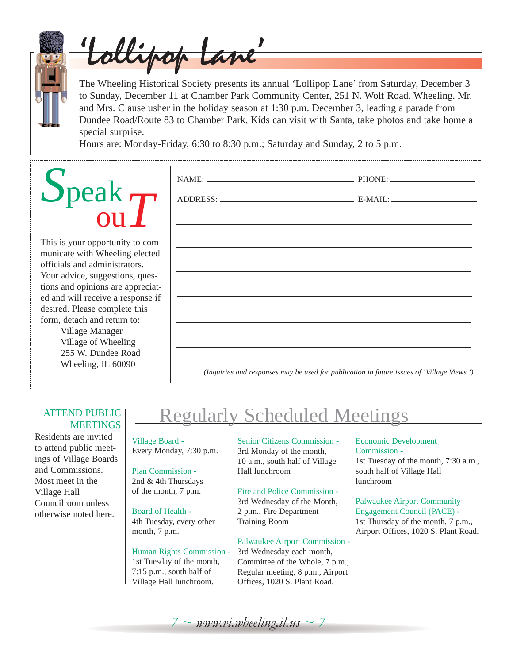

'Lollipop Lane'

The Wheeling Historical Society presents its annual 'Lollipop Lane' from Saturday, December 3 to Sunday, December 11 at Chamber Park Community Center, 251 N. Wolf Road, Wheeling. Mr. and Mrs. Clause usher in the holiday season at 1:30 p.m. December 3, leading a parade from Dundee Road/Route 83 to Chamber Park. Kids can visit with Santa, take photos and take home a special surprise.

Hours are: Monday-Friday, 6:30 to 8:30 p.m.; Saturday and Sunday, 2 to 5 p.m.

# *S*peak  $\frac{\mathrm{a}\mathrm{k}}{\mathrm{ou}}T$

This is your opportunity to communicate with Wheeling elected officials and administrators. Your advice, suggestions, questions and opinions are appreciated and will receive a response if desired. Please complete this form, detach and return to: Village Manager Village of Wheeling 255 W. Dundee Road

Wheeling, IL 60090

|  | ,我们也不能在这里的时候,我们也不能在这里的时候,我们也不能会在这里的时候,我们也不能会在这里的时候,我们也不能会在这里的时候,我们也不能会在这里的时候,我们也不 |
|--|-----------------------------------------------------------------------------------|
|  |                                                                                   |
|  | ,我们也不能在这里的时候,我们也不能在这里的时候,我们也不能会在这里的时候,我们也不能会在这里的时候,我们也不能会在这里的时候,我们也不能会在这里的时候,我们也不 |
|  |                                                                                   |
|  | ,我们也不会有什么。""我们的人,我们也不会有什么?""我们的人,我们也不会有什么?""我们的人,我们也不会有什么?""我们的人,我们也不会有什么?""我们的人  |
|  |                                                                                   |
|  |                                                                                   |

#### ATTEND PUBLIC **MEETINGS**

Residents are invited to attend public meetings of Village Boards and Commissions. Most meet in the Village Hall Councilroom unless otherwise noted here.

### Regularly Scheduled Meetings

Village Board - Every Monday, 7:30 p.m.

Plan Commission - 2nd & 4th Thursdays of the month, 7 p.m.

Board of Health - 4th Tuesday, every other month, 7 p.m.

#### Human Rights Commission - 1st Tuesday of the month,

7:15 p.m., south half of Village Hall lunchroom. Senior Citizens Commission - 3rd Monday of the month, 10 a.m., south half of Village Hall lunchroom

#### Fire and Police Commission -

3rd Wednesday of the Month, 2 p.m., Fire Department Training Room

#### Palwaukee Airport Commission -

3rd Wednesday each month, Committee of the Whole, 7 p.m.; Regular meeting, 8 p.m., Airport Offices, 1020 S. Plant Road.

#### Economic Development Commission - 1st Tuesday of the month, 7:30 a.m.,

south half of Village Hall lunchroom

Palwaukee Airport Community Engagement Council (PACE) - 1st Thursday of the month, 7 p.m., Airport Offices, 1020 S. Plant Road.

 $7 \sim$  www.vi.wheeling.il.us  $\sim$  7